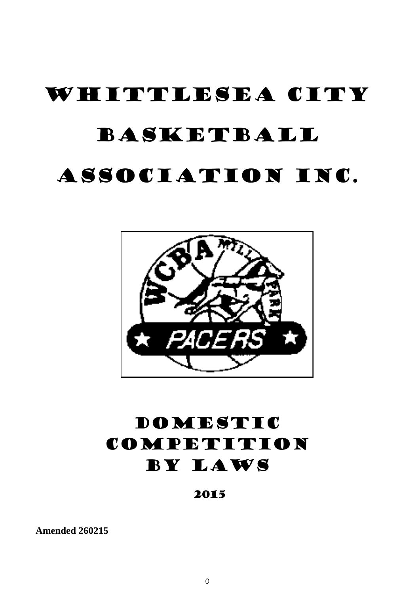# WHITTLESEA CITY BASKETBALL ASSOCIATION INC.



# DOMESTIC COMPETITION BY LAWS

2015

**Amended 260215**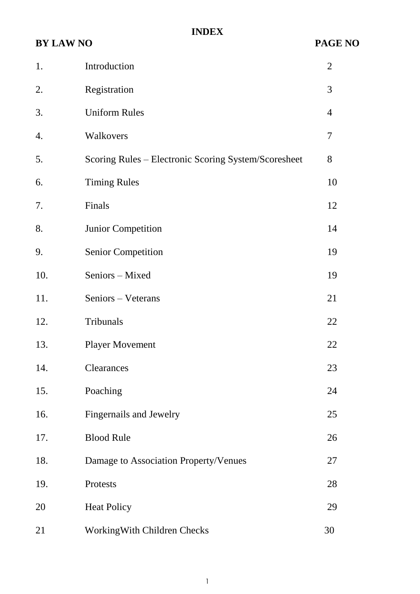# **INDEX**

# **BY LAW NO PAGE NO**

| 1.  | Introduction                                         | $\overline{2}$ |  |
|-----|------------------------------------------------------|----------------|--|
| 2.  | Registration                                         | 3              |  |
| 3.  | <b>Uniform Rules</b>                                 | $\overline{4}$ |  |
| 4.  | Walkovers                                            | 7              |  |
| 5.  | Scoring Rules – Electronic Scoring System/Scoresheet | 8              |  |
| 6.  | <b>Timing Rules</b>                                  |                |  |
| 7.  | Finals                                               | 12             |  |
| 8.  | <b>Junior Competition</b>                            | 14             |  |
| 9.  | <b>Senior Competition</b>                            | 19             |  |
| 10. | Seniors - Mixed                                      | 19             |  |
| 11. | Seniors - Veterans                                   | 21             |  |
| 12. | Tribunals                                            | 22             |  |
| 13. | <b>Player Movement</b>                               |                |  |
| 14. | Clearances                                           |                |  |
| 15. | Poaching                                             | 24             |  |
| 16. | Fingernails and Jewelry                              | 25             |  |
| 17. | <b>Blood Rule</b>                                    | 26             |  |
| 18. | Damage to Association Property/Venues                | 27             |  |
| 19. | Protests                                             | 28             |  |
| 20  | <b>Heat Policy</b>                                   | 29             |  |
| 21  | Working With Children Checks                         | 30             |  |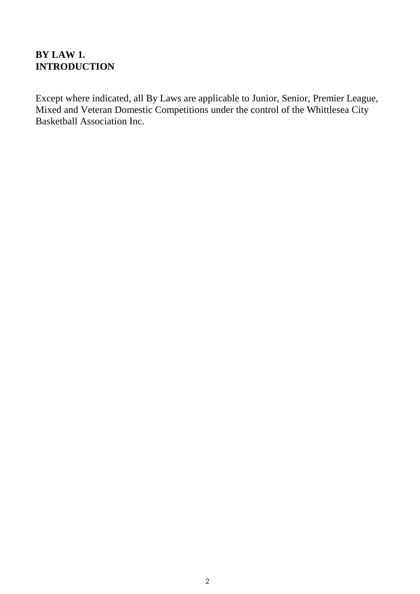# **BY LAW 1. INTRODUCTION**

Except where indicated, all By Laws are applicable to Junior, Senior, Premier League, Mixed and Veteran Domestic Competitions under the control of the Whittlesea City Basketball Association Inc.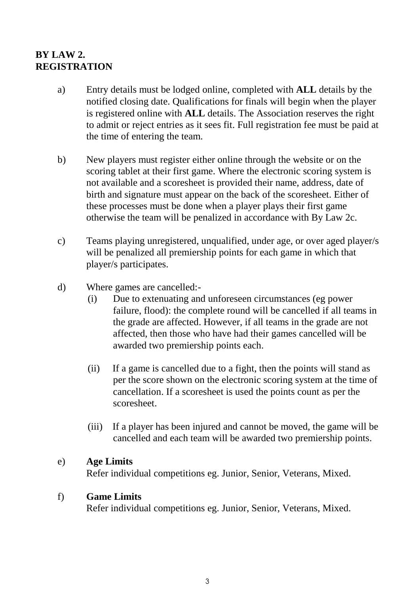# **BY LAW 2. REGISTRATION**

- a) Entry details must be lodged online, completed with **ALL** details by the notified closing date. Qualifications for finals will begin when the player is registered online with **ALL** details. The Association reserves the right to admit or reject entries as it sees fit. Full registration fee must be paid at the time of entering the team.
- b) New players must register either online through the website or on the scoring tablet at their first game. Where the electronic scoring system is not available and a scoresheet is provided their name, address, date of birth and signature must appear on the back of the scoresheet. Either of these processes must be done when a player plays their first game otherwise the team will be penalized in accordance with By Law 2c.
- c) Teams playing unregistered, unqualified, under age, or over aged player/s will be penalized all premiership points for each game in which that player/s participates.
- d) Where games are cancelled:-
	- (i) Due to extenuating and unforeseen circumstances (eg power failure, flood): the complete round will be cancelled if all teams in the grade are affected. However, if all teams in the grade are not affected, then those who have had their games cancelled will be awarded two premiership points each.
	- (ii) If a game is cancelled due to a fight, then the points will stand as per the score shown on the electronic scoring system at the time of cancellation. If a scoresheet is used the points count as per the scoresheet.
	- (iii) If a player has been injured and cannot be moved, the game will be cancelled and each team will be awarded two premiership points.

#### e) **Age Limits**

Refer individual competitions eg. Junior, Senior, Veterans, Mixed.

#### f) **Game Limits**

Refer individual competitions eg. Junior, Senior, Veterans, Mixed.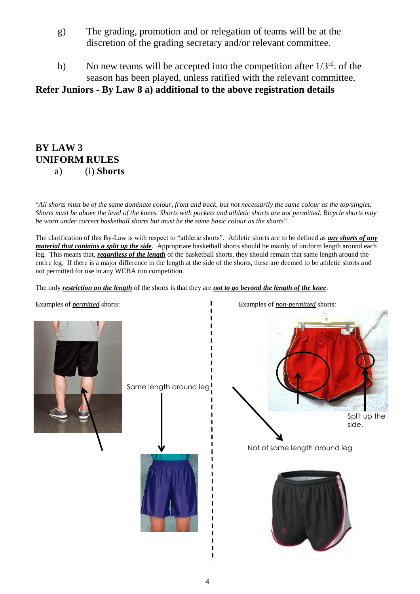- g) The grading, promotion and or relegation of teams will be at the discretion of the grading secretary and/or relevant committee.
- h) No new teams will be accepted into the competition after  $1/3^{rd}$ . of the season has been played, unless ratified with the relevant committee.

#### **Refer Juniors - By Law 8 a) additional to the above registration details**

#### **BY LAW 3 UNIFORM RULES** a) (i) **Shorts**

"*All shorts must be of the same dominate colour, front and back, but not necessarily the same colour as the top/singlet. Shorts must be above the level of the knees. Shorts with pockets and athletic shorts are not permitted. Bicycle shorts may be worn under correct basketball shorts but must be the same basic colour as the shorts*".

The clarification of this By-Law is with respect to "athletic shorts". Athletic shorts are to be defined as *any shorts of any material that contains a split up the side*. Appropriate basketball shorts should be mainly of uniform length around each leg. This means that, *regardless of the length* of the basketball shorts, they should remain that same length around the entire leg. If there is a major difference in the length at the side of the shorts, these are deemed to be athletic shorts and not permitted for use in any WCBA run competition.

The only *restriction on the length* of the shorts is that they are *not to go beyond the length of the knee*.



Same length around leg!



Not of same length around leg



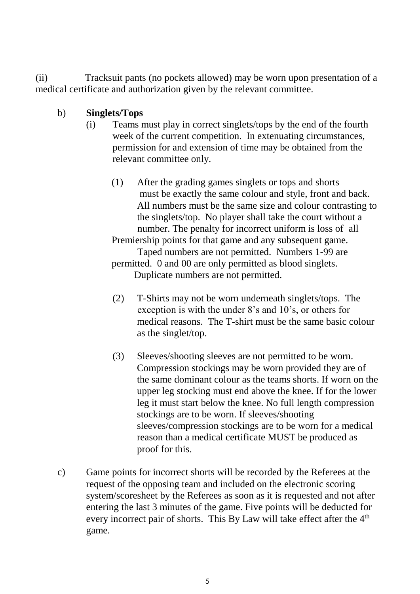(ii) Tracksuit pants (no pockets allowed) may be worn upon presentation of a medical certificate and authorization given by the relevant committee.

- b) **Singlets/Tops**
	- (i) Teams must play in correct singlets/tops by the end of the fourth week of the current competition. In extenuating circumstances, permission for and extension of time may be obtained from the relevant committee only.
		- (1) After the grading games singlets or tops and shorts must be exactly the same colour and style, front and back. All numbers must be the same size and colour contrasting to the singlets/top. No player shall take the court without a number. The penalty for incorrect uniform is loss of all Premiership points for that game and any subsequent game. Taped numbers are not permitted. Numbers 1-99 are

permitted. 0 and 00 are only permitted as blood singlets. Duplicate numbers are not permitted.

- (2) T-Shirts may not be worn underneath singlets/tops. The exception is with the under 8's and 10's, or others for medical reasons. The T-shirt must be the same basic colour as the singlet/top.
- (3) Sleeves/shooting sleeves are not permitted to be worn. Compression stockings may be worn provided they are of the same dominant colour as the teams shorts. If worn on the upper leg stocking must end above the knee. If for the lower leg it must start below the knee. No full length compression stockings are to be worn. If sleeves/shooting sleeves/compression stockings are to be worn for a medical reason than a medical certificate MUST be produced as proof for this.
- c) Game points for incorrect shorts will be recorded by the Referees at the request of the opposing team and included on the electronic scoring system/scoresheet by the Referees as soon as it is requested and not after entering the last 3 minutes of the game. Five points will be deducted for every incorrect pair of shorts. This By Law will take effect after the  $4<sup>th</sup>$ game.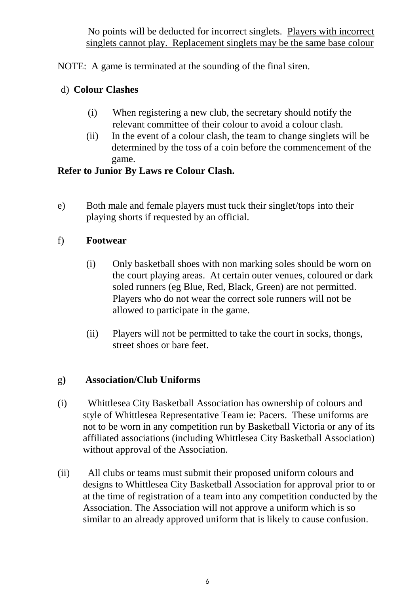No points will be deducted for incorrect singlets. Players with incorrect singlets cannot play. Replacement singlets may be the same base colour

NOTE: A game is terminated at the sounding of the final siren.

# d) **Colour Clashes**

- (i) When registering a new club, the secretary should notify the relevant committee of their colour to avoid a colour clash.
- (ii) In the event of a colour clash, the team to change singlets will be determined by the toss of a coin before the commencement of the game.

# **Refer to Junior By Laws re Colour Clash.**

e) Both male and female players must tuck their singlet/tops into their playing shorts if requested by an official.

# f) **Footwear**

- (i) Only basketball shoes with non marking soles should be worn on the court playing areas. At certain outer venues, coloured or dark soled runners (eg Blue, Red, Black, Green) are not permitted. Players who do not wear the correct sole runners will not be allowed to participate in the game.
- (ii) Players will not be permitted to take the court in socks, thongs, street shoes or bare feet.

# g**) Association/Club Uniforms**

- (i) Whittlesea City Basketball Association has ownership of colours and style of Whittlesea Representative Team ie: Pacers. These uniforms are not to be worn in any competition run by Basketball Victoria or any of its affiliated associations (including Whittlesea City Basketball Association) without approval of the Association.
- (ii) All clubs or teams must submit their proposed uniform colours and designs to Whittlesea City Basketball Association for approval prior to or at the time of registration of a team into any competition conducted by the Association. The Association will not approve a uniform which is so similar to an already approved uniform that is likely to cause confusion.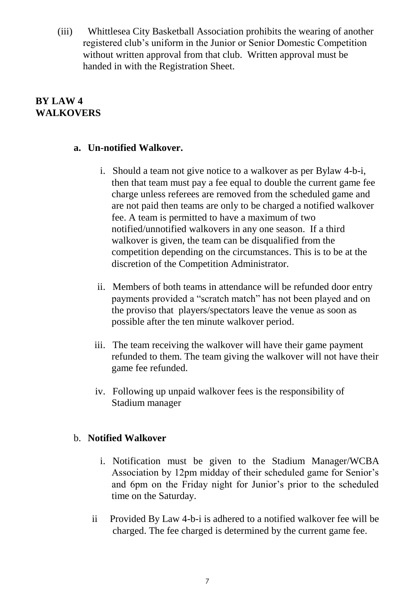(iii) Whittlesea City Basketball Association prohibits the wearing of another registered club's uniform in the Junior or Senior Domestic Competition without written approval from that club. Written approval must be handed in with the Registration Sheet.

# **BY LAW 4 WALKOVERS**

#### **a. Un-notified Walkover.**

- i. Should a team not give notice to a walkover as per Bylaw 4-b-i, then that team must pay a fee equal to double the current game fee charge unless referees are removed from the scheduled game and are not paid then teams are only to be charged a notified walkover fee. A team is permitted to have a maximum of two notified/unnotified walkovers in any one season. If a third walkover is given, the team can be disqualified from the competition depending on the circumstances. This is to be at the discretion of the Competition Administrator.
- ii. Members of both teams in attendance will be refunded door entry payments provided a "scratch match" has not been played and on the proviso that players/spectators leave the venue as soon as possible after the ten minute walkover period.
- iii. The team receiving the walkover will have their game payment refunded to them. The team giving the walkover will not have their game fee refunded.
- iv. Following up unpaid walkover fees is the responsibility of Stadium manager

#### b. **Notified Walkover**

- i. Notification must be given to the Stadium Manager/WCBA Association by 12pm midday of their scheduled game for Senior's and 6pm on the Friday night for Junior's prior to the scheduled time on the Saturday.
- ii Provided By Law 4-b-i is adhered to a notified walkover fee will be charged. The fee charged is determined by the current game fee.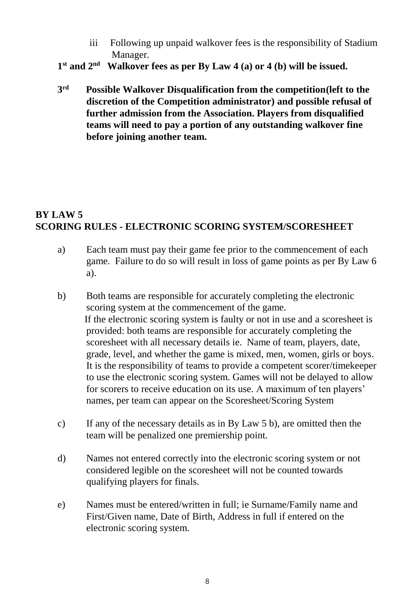- iii Following up unpaid walkover fees is the responsibility of Stadium Manager.
- **1 st and 2nd Walkover fees as per By Law 4 (a) or 4 (b) will be issued.**
- **3 rd Possible Walkover Disqualification from the competition(left to the discretion of the Competition administrator) and possible refusal of further admission from the Association. Players from disqualified teams will need to pay a portion of any outstanding walkover fine before joining another team.**

# **BY LAW 5 SCORING RULES - ELECTRONIC SCORING SYSTEM/SCORESHEET**

- a) Each team must pay their game fee prior to the commencement of each game. Failure to do so will result in loss of game points as per By Law 6 a).
- b) Both teams are responsible for accurately completing the electronic scoring system at the commencement of the game. If the electronic scoring system is faulty or not in use and a scoresheet is provided: both teams are responsible for accurately completing the scoresheet with all necessary details ie. Name of team, players, date, grade, level, and whether the game is mixed, men, women, girls or boys. It is the responsibility of teams to provide a competent scorer/timekeeper to use the electronic scoring system. Games will not be delayed to allow for scorers to receive education on its use. A maximum of ten players' names, per team can appear on the Scoresheet/Scoring System
- c) If any of the necessary details as in By Law 5 b), are omitted then the team will be penalized one premiership point.
- d) Names not entered correctly into the electronic scoring system or not considered legible on the scoresheet will not be counted towards qualifying players for finals.
- e) Names must be entered/written in full; ie Surname/Family name and First/Given name, Date of Birth, Address in full if entered on the electronic scoring system.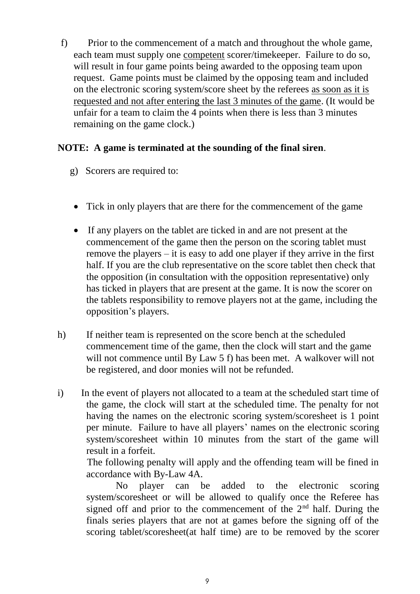f) Prior to the commencement of a match and throughout the whole game, each team must supply one competent scorer/timekeeper. Failure to do so, will result in four game points being awarded to the opposing team upon request. Game points must be claimed by the opposing team and included on the electronic scoring system/score sheet by the referees as soon as it is requested and not after entering the last 3 minutes of the game. (It would be unfair for a team to claim the 4 points when there is less than 3 minutes remaining on the game clock.)

#### **NOTE: A game is terminated at the sounding of the final siren**.

- g) Scorers are required to:
- Tick in only players that are there for the commencement of the game
- If any players on the tablet are ticked in and are not present at the commencement of the game then the person on the scoring tablet must remove the players – it is easy to add one player if they arrive in the first half. If you are the club representative on the score tablet then check that the opposition (in consultation with the opposition representative) only has ticked in players that are present at the game. It is now the scorer on the tablets responsibility to remove players not at the game, including the opposition's players.
- h) If neither team is represented on the score bench at the scheduled commencement time of the game, then the clock will start and the game will not commence until By Law 5 f) has been met. A walkover will not be registered, and door monies will not be refunded.
- i) In the event of players not allocated to a team at the scheduled start time of the game, the clock will start at the scheduled time. The penalty for not having the names on the electronic scoring system/scoresheet is 1 point per minute. Failure to have all players' names on the electronic scoring system/scoresheet within 10 minutes from the start of the game will result in a forfeit.

 The following penalty will apply and the offending team will be fined in accordance with By-Law 4A.

 No player can be added to the electronic scoring system/scoresheet or will be allowed to qualify once the Referee has signed off and prior to the commencement of the  $2<sup>nd</sup>$  half. During the finals series players that are not at games before the signing off of the scoring tablet/scoresheet(at half time) are to be removed by the scorer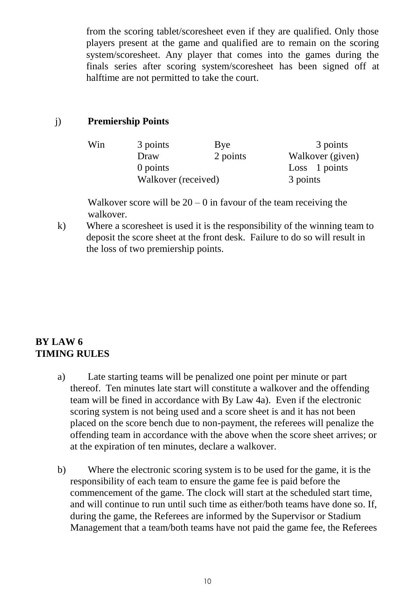from the scoring tablet/scoresheet even if they are qualified. Only those players present at the game and qualified are to remain on the scoring system/scoresheet. Any player that comes into the games during the finals series after scoring system/scoresheet has been signed off at halftime are not permitted to take the court.

#### j) **Premiership Points**

| Win | 3 points            | Bye      | 3 points         |
|-----|---------------------|----------|------------------|
|     | Draw                | 2 points | Walkover (given) |
|     | 0 points            |          | Loss 1 points    |
|     | Walkover (received) |          | 3 points         |

Walkover score will be  $20 - 0$  in favour of the team receiving the walkover.

k) Where a scoresheet is used it is the responsibility of the winning team to deposit the score sheet at the front desk. Failure to do so will result in the loss of two premiership points.

# **BY LAW 6 TIMING RULES**

- a) Late starting teams will be penalized one point per minute or part thereof. Ten minutes late start will constitute a walkover and the offending team will be fined in accordance with By Law 4a). Even if the electronic scoring system is not being used and a score sheet is and it has not been placed on the score bench due to non-payment, the referees will penalize the offending team in accordance with the above when the score sheet arrives; or at the expiration of ten minutes, declare a walkover.
- b) Where the electronic scoring system is to be used for the game, it is the responsibility of each team to ensure the game fee is paid before the commencement of the game. The clock will start at the scheduled start time, and will continue to run until such time as either/both teams have done so. If, during the game, the Referees are informed by the Supervisor or Stadium Management that a team/both teams have not paid the game fee, the Referees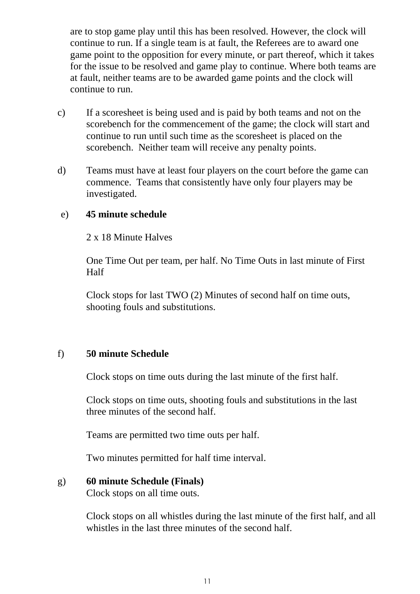are to stop game play until this has been resolved. However, the clock will continue to run. If a single team is at fault, the Referees are to award one game point to the opposition for every minute, or part thereof, which it takes for the issue to be resolved and game play to continue. Where both teams are at fault, neither teams are to be awarded game points and the clock will continue to run.

- c) If a scoresheet is being used and is paid by both teams and not on the scorebench for the commencement of the game; the clock will start and continue to run until such time as the scoresheet is placed on the scorebench. Neither team will receive any penalty points.
- d) Teams must have at least four players on the court before the game can commence. Teams that consistently have only four players may be investigated.

#### e) **45 minute schedule**

2 x 18 Minute Halves

One Time Out per team, per half. No Time Outs in last minute of First Half

Clock stops for last TWO (2) Minutes of second half on time outs, shooting fouls and substitutions.

#### f) **50 minute Schedule**

Clock stops on time outs during the last minute of the first half.

Clock stops on time outs, shooting fouls and substitutions in the last three minutes of the second half.

Teams are permitted two time outs per half.

Two minutes permitted for half time interval.

#### g) **60 minute Schedule (Finals)**

Clock stops on all time outs.

Clock stops on all whistles during the last minute of the first half, and all whistles in the last three minutes of the second half.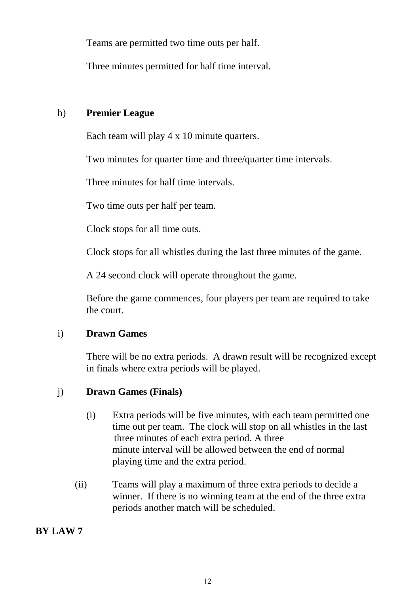Teams are permitted two time outs per half.

Three minutes permitted for half time interval.

#### h) **Premier League**

Each team will play 4 x 10 minute quarters.

Two minutes for quarter time and three/quarter time intervals.

Three minutes for half time intervals.

Two time outs per half per team.

Clock stops for all time outs.

Clock stops for all whistles during the last three minutes of the game.

A 24 second clock will operate throughout the game.

Before the game commences, four players per team are required to take the court.

#### i) **Drawn Games**

There will be no extra periods. A drawn result will be recognized except in finals where extra periods will be played.

# j) **Drawn Games (Finals)**

- (i) Extra periods will be five minutes, with each team permitted one time out per team. The clock will stop on all whistles in the last three minutes of each extra period. A three minute interval will be allowed between the end of normal playing time and the extra period.
- (ii) Teams will play a maximum of three extra periods to decide a winner. If there is no winning team at the end of the three extra periods another match will be scheduled.

# **BY LAW 7**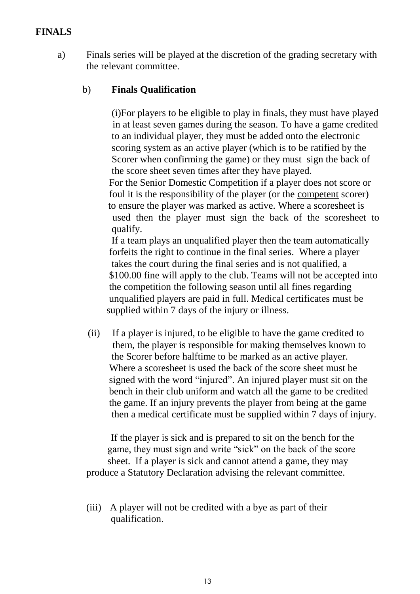#### **FINALS**

a) Finals series will be played at the discretion of the grading secretary with the relevant committee.

#### b) **Finals Qualification**

(i)For players to be eligible to play in finals, they must have played in at least seven games during the season. To have a game credited to an individual player, they must be added onto the electronic scoring system as an active player (which is to be ratified by the Scorer when confirming the game) or they must sign the back of the score sheet seven times after they have played. For the Senior Domestic Competition if a player does not score or foul it is the responsibility of the player (or the competent scorer) to ensure the player was marked as active. Where a scoresheet is used then the player must sign the back of the scoresheet to qualify.

 If a team plays an unqualified player then the team automatically forfeits the right to continue in the final series. Where a player takes the court during the final series and is not qualified, a \$100.00 fine will apply to the club. Teams will not be accepted into the competition the following season until all fines regarding unqualified players are paid in full. Medical certificates must be supplied within 7 days of the injury or illness.

(ii) If a player is injured, to be eligible to have the game credited to them, the player is responsible for making themselves known to the Scorer before halftime to be marked as an active player. Where a scoresheet is used the back of the score sheet must be signed with the word "injured". An injured player must sit on the bench in their club uniform and watch all the game to be credited the game. If an injury prevents the player from being at the game then a medical certificate must be supplied within 7 days of injury.

 If the player is sick and is prepared to sit on the bench for the game, they must sign and write "sick" on the back of the score sheet. If a player is sick and cannot attend a game, they may produce a Statutory Declaration advising the relevant committee.

(iii) A player will not be credited with a bye as part of their qualification.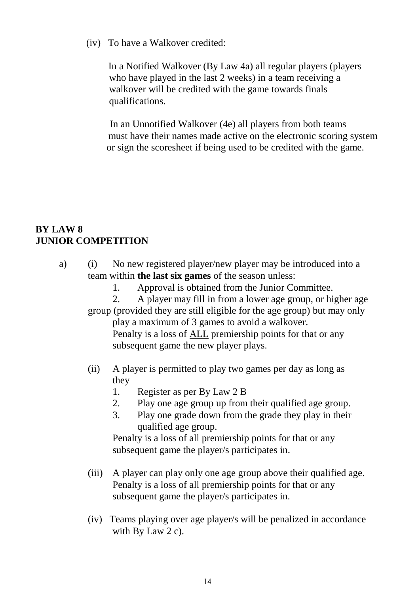(iv) To have a Walkover credited:

 In a Notified Walkover (By Law 4a) all regular players (players who have played in the last 2 weeks) in a team receiving a walkover will be credited with the game towards finals qualifications.

In an Unnotified Walkover (4e) all players from both teams must have their names made active on the electronic scoring system or sign the scoresheet if being used to be credited with the game.

#### **BY LAW 8 JUNIOR COMPETITION**

- a) (i) No new registered player/new player may be introduced into a team within **the last six games** of the season unless:
	- 1. Approval is obtained from the Junior Committee.

2. A player may fill in from a lower age group, or higher age group (provided they are still eligible for the age group) but may only play a maximum of 3 games to avoid a walkover. Penalty is a loss of ALL premiership points for that or any

subsequent game the new player plays.

- (ii) A player is permitted to play two games per day as long as they
	- 1. Register as per By Law 2 B
	- 2. Play one age group up from their qualified age group.
	- 3. Play one grade down from the grade they play in their qualified age group.

Penalty is a loss of all premiership points for that or any subsequent game the player/s participates in.

- (iii) A player can play only one age group above their qualified age. Penalty is a loss of all premiership points for that or any subsequent game the player/s participates in.
- (iv) Teams playing over age player/s will be penalized in accordance with By Law 2 c).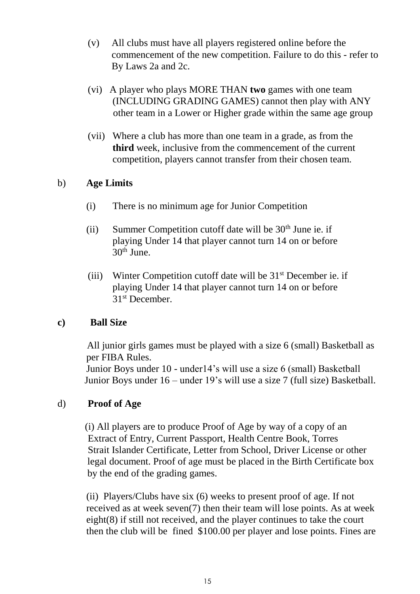- (v) All clubs must have all players registered online before the commencement of the new competition. Failure to do this - refer to By Laws 2a and 2c.
- (vi) A player who plays MORE THAN **two** games with one team (INCLUDING GRADING GAMES) cannot then play with ANY other team in a Lower or Higher grade within the same age group
- (vii) Where a club has more than one team in a grade, as from the **third** week, inclusive from the commencement of the current competition, players cannot transfer from their chosen team.

#### b) **Age Limits**

- (i) There is no minimum age for Junior Competition
- (ii) Summer Competition cutoff date will be  $30<sup>th</sup>$  June ie. if playing Under 14 that player cannot turn 14 on or before 30th June.
- (iii) Winter Competition cutoff date will be  $31<sup>st</sup>$  December ie. if playing Under 14 that player cannot turn 14 on or before 31st December.

# **c) Ball Size**

All junior girls games must be played with a size 6 (small) Basketball as per FIBA Rules.

Junior Boys under 10 - under14's will use a size 6 (small) Basketball Junior Boys under 16 – under 19's will use a size 7 (full size) Basketball.

# d) **Proof of Age**

 (i) All players are to produce Proof of Age by way of a copy of an Extract of Entry, Current Passport, Health Centre Book, Torres Strait Islander Certificate, Letter from School, Driver License or other legal document. Proof of age must be placed in the Birth Certificate box by the end of the grading games.

(ii) Players/Clubs have six (6) weeks to present proof of age. If not received as at week seven(7) then their team will lose points. As at week eight(8) if still not received, and the player continues to take the court then the club will be fined \$100.00 per player and lose points. Fines are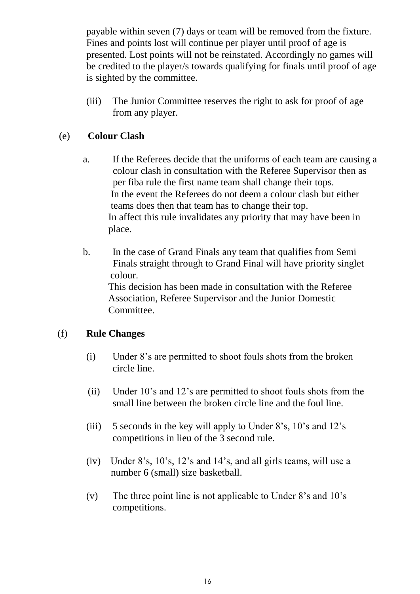payable within seven (7) days or team will be removed from the fixture. Fines and points lost will continue per player until proof of age is presented. Lost points will not be reinstated. Accordingly no games will be credited to the player/s towards qualifying for finals until proof of age is sighted by the committee.

(iii) The Junior Committee reserves the right to ask for proof of age from any player.

#### (e) **Colour Clash**

- a. If the Referees decide that the uniforms of each team are causing a colour clash in consultation with the Referee Supervisor then as per fiba rule the first name team shall change their tops. In the event the Referees do not deem a colour clash but either teams does then that team has to change their top. In affect this rule invalidates any priority that may have been in place.
- b. In the case of Grand Finals any team that qualifies from Semi Finals straight through to Grand Final will have priority singlet colour. This decision has been made in consultation with the Referee Association, Referee Supervisor and the Junior Domestic Committee.

#### (f) **Rule Changes**

- (i) Under 8's are permitted to shoot fouls shots from the broken circle line.
- (ii) Under 10's and 12's are permitted to shoot fouls shots from the small line between the broken circle line and the foul line.
- (iii) 5 seconds in the key will apply to Under 8's, 10's and 12's competitions in lieu of the 3 second rule.
- (iv) Under 8's, 10's, 12's and 14's, and all girls teams, will use a number 6 (small) size basketball.
- (v) The three point line is not applicable to Under 8's and 10's competitions.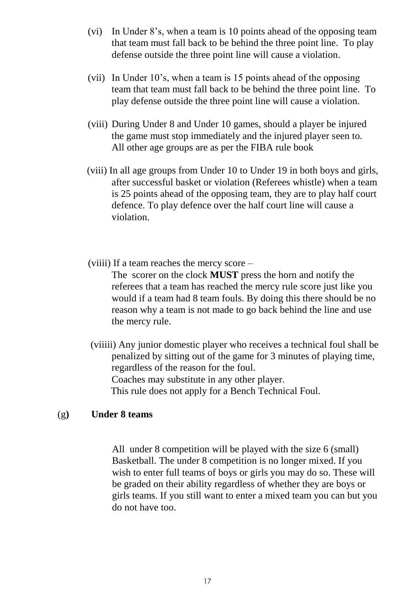- (vi) In Under 8's, when a team is 10 points ahead of the opposing team that team must fall back to be behind the three point line. To play defense outside the three point line will cause a violation.
- (vii) In Under 10's, when a team is 15 points ahead of the opposing team that team must fall back to be behind the three point line. To play defense outside the three point line will cause a violation.
- (viii) During Under 8 and Under 10 games, should a player be injured the game must stop immediately and the injured player seen to. All other age groups are as per the FIBA rule book
- (viii) In all age groups from Under 10 to Under 19 in both boys and girls, after successful basket or violation (Referees whistle) when a team is 25 points ahead of the opposing team, they are to play half court defence. To play defence over the half court line will cause a violation.
- (viiii) If a team reaches the mercy score –

The scorer on the clock **MUST** press the horn and notify the referees that a team has reached the mercy rule score just like you would if a team had 8 team fouls. By doing this there should be no reason why a team is not made to go back behind the line and use the mercy rule.

(viiiii) Any junior domestic player who receives a technical foul shall be penalized by sitting out of the game for 3 minutes of playing time, regardless of the reason for the foul. Coaches may substitute in any other player. This rule does not apply for a Bench Technical Foul.

#### (g**) Under 8 teams**

All under 8 competition will be played with the size 6 (small) Basketball. The under 8 competition is no longer mixed. If you wish to enter full teams of boys or girls you may do so. These will be graded on their ability regardless of whether they are boys or girls teams. If you still want to enter a mixed team you can but you do not have too.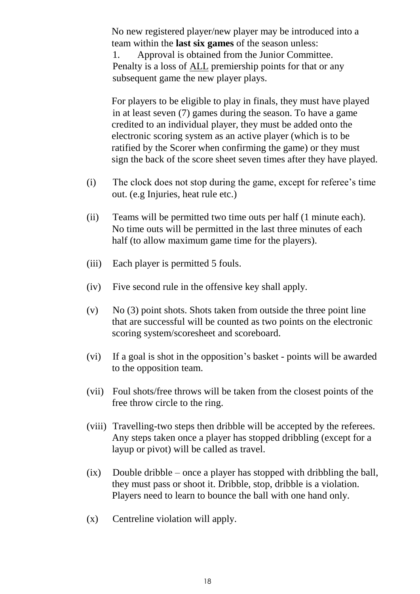No new registered player/new player may be introduced into a team within the **last six games** of the season unless: 1. Approval is obtained from the Junior Committee. Penalty is a loss of ALL premiership points for that or any subsequent game the new player plays.

For players to be eligible to play in finals, they must have played in at least seven (7) games during the season. To have a game credited to an individual player, they must be added onto the electronic scoring system as an active player (which is to be ratified by the Scorer when confirming the game) or they must sign the back of the score sheet seven times after they have played.

- (i) The clock does not stop during the game, except for referee's time out. (e.g Injuries, heat rule etc.)
- (ii) Teams will be permitted two time outs per half (1 minute each). No time outs will be permitted in the last three minutes of each half (to allow maximum game time for the players).
- (iii) Each player is permitted 5 fouls.
- (iv) Five second rule in the offensive key shall apply.
- (v) No  $(3)$  point shots. Shots taken from outside the three point line that are successful will be counted as two points on the electronic scoring system/scoresheet and scoreboard.
- (vi) If a goal is shot in the opposition's basket points will be awarded to the opposition team.
- (vii) Foul shots/free throws will be taken from the closest points of the free throw circle to the ring.
- (viii) Travelling-two steps then dribble will be accepted by the referees. Any steps taken once a player has stopped dribbling (except for a layup or pivot) will be called as travel.
- (ix) Double dribble once a player has stopped with dribbling the ball, they must pass or shoot it. Dribble, stop, dribble is a violation. Players need to learn to bounce the ball with one hand only.
- (x) Centreline violation will apply.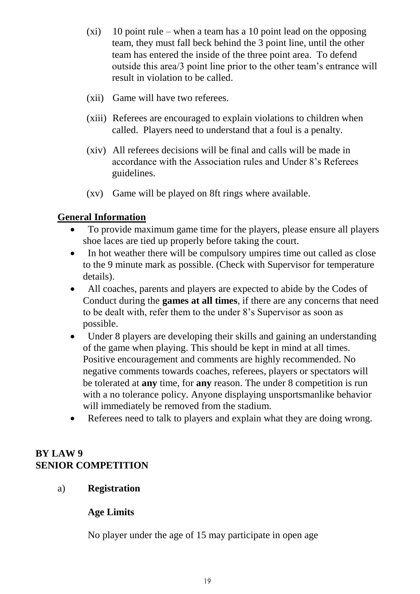- $(x_i)$  10 point rule when a team has a 10 point lead on the opposing team, they must fall beck behind the 3 point line, until the other team has entered the inside of the three point area. To defend outside this area/3 point line prior to the other team's entrance will result in violation to be called.
- (xii) Game will have two referees.
- (xiii) Referees are encouraged to explain violations to children when called. Players need to understand that a foul is a penalty.
- (xiv) All referees decisions will be final and calls will be made in accordance with the Association rules and Under 8's Referees guidelines.
- (xv) Game will be played on 8ft rings where available.

#### **General Information**

- To provide maximum game time for the players, please ensure all players shoe laces are tied up properly before taking the court.
- In hot weather there will be compulsory umpires time out called as close to the 9 minute mark as possible. (Check with Supervisor for temperature details).
- All coaches, parents and players are expected to abide by the Codes of Conduct during the **games at all times**, if there are any concerns that need to be dealt with, refer them to the under 8's Supervisor as soon as possible.
- Under 8 players are developing their skills and gaining an understanding of the game when playing. This should be kept in mind at all times. Positive encouragement and comments are highly recommended. No negative comments towards coaches, referees, players or spectators will be tolerated at **any** time, for **any** reason. The under 8 competition is run with a no tolerance policy. Anyone displaying unsportsmanlike behavior will immediately be removed from the stadium.
- Referees need to talk to players and explain what they are doing wrong.

#### **BY LAW 9 SENIOR COMPETITION**

#### a) **Registration**

#### **Age Limits**

No player under the age of 15 may participate in open age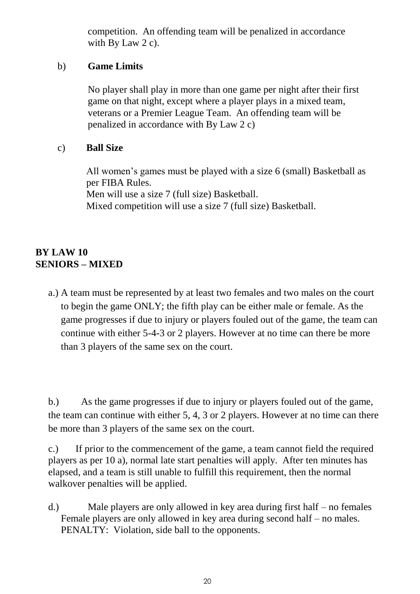competition. An offending team will be penalized in accordance with By Law 2 c).

#### b) **Game Limits**

No player shall play in more than one game per night after their first game on that night, except where a player plays in a mixed team, veterans or a Premier League Team. An offending team will be penalized in accordance with By Law 2 c)

# c) **Ball Size**

All women's games must be played with a size 6 (small) Basketball as per FIBA Rules. Men will use a size 7 (full size) Basketball. Mixed competition will use a size 7 (full size) Basketball.

# **BY LAW 10 SENIORS – MIXED**

a.) A team must be represented by at least two females and two males on the court to begin the game ONLY; the fifth play can be either male or female. As the game progresses if due to injury or players fouled out of the game, the team can continue with either 5-4-3 or 2 players. However at no time can there be more than 3 players of the same sex on the court.

b.) As the game progresses if due to injury or players fouled out of the game, the team can continue with either 5, 4, 3 or 2 players. However at no time can there be more than 3 players of the same sex on the court.

c.) If prior to the commencement of the game, a team cannot field the required players as per 10 a), normal late start penalties will apply. After ten minutes has elapsed, and a team is still unable to fulfill this requirement, then the normal walkover penalties will be applied.

d.) Male players are only allowed in key area during first half – no females Female players are only allowed in key area during second half – no males. PENALTY: Violation, side ball to the opponents.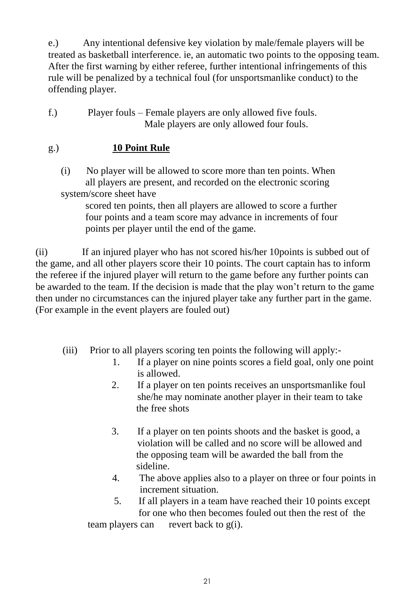e.) Any intentional defensive key violation by male/female players will be treated as basketball interference. ie, an automatic two points to the opposing team. After the first warning by either referee, further intentional infringements of this rule will be penalized by a technical foul (for unsportsmanlike conduct) to the offending player.

f.) Player fouls – Female players are only allowed five fouls. Male players are only allowed four fouls.

# g.) **10 Point Rule**

(i) No player will be allowed to score more than ten points. When all players are present, and recorded on the electronic scoring system/score sheet have

 scored ten points, then all players are allowed to score a further four points and a team score may advance in increments of four points per player until the end of the game.

(ii) If an injured player who has not scored his/her 10points is subbed out of the game, and all other players score their 10 points. The court captain has to inform the referee if the injured player will return to the game before any further points can be awarded to the team. If the decision is made that the play won't return to the game then under no circumstances can the injured player take any further part in the game. (For example in the event players are fouled out)

- (iii) Prior to all players scoring ten points the following will apply:-
	- 1. If a player on nine points scores a field goal, only one point is allowed.
	- 2. If a player on ten points receives an unsportsmanlike foul she/he may nominate another player in their team to take the free shots
	- 3. If a player on ten points shoots and the basket is good, a violation will be called and no score will be allowed and the opposing team will be awarded the ball from the sideline.
	- 4. The above applies also to a player on three or four points in increment situation.
	- 5. If all players in a team have reached their 10 points except for one who then becomes fouled out then the rest of the

team players can revert back to g(i).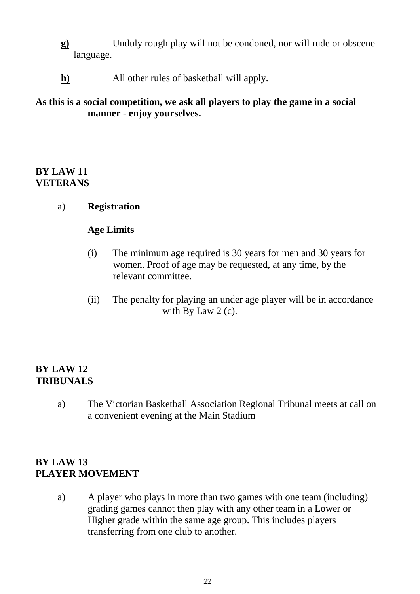- **g)** Unduly rough play will not be condoned, nor will rude or obscene language.
- **h)** All other rules of basketball will apply.

#### **As this is a social competition, we ask all players to play the game in a social manner - enjoy yourselves.**

#### **BY LAW 11 VETERANS**

a) **Registration**

#### **Age Limits**

- (i) The minimum age required is 30 years for men and 30 years for women. Proof of age may be requested, at any time, by the relevant committee.
- (ii) The penalty for playing an under age player will be in accordance with By Law 2 (c).

#### **BY LAW 12 TRIBUNALS**

a) The Victorian Basketball Association Regional Tribunal meets at call on a convenient evening at the Main Stadium

# **BY LAW 13 PLAYER MOVEMENT**

a) A player who plays in more than two games with one team (including) grading games cannot then play with any other team in a Lower or Higher grade within the same age group. This includes players transferring from one club to another.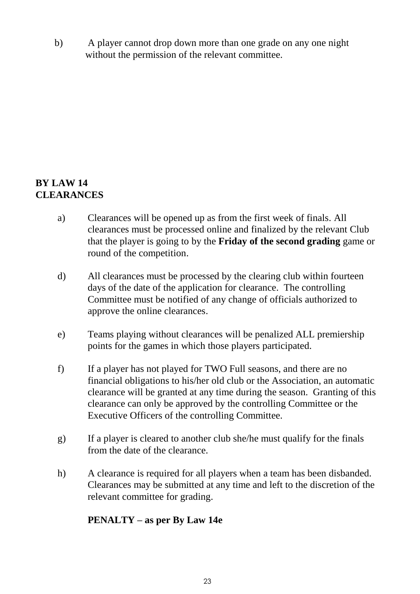b) A player cannot drop down more than one grade on any one night without the permission of the relevant committee.

#### **BY LAW 14 CLEARANCES**

- a) Clearances will be opened up as from the first week of finals. All clearances must be processed online and finalized by the relevant Club that the player is going to by the **Friday of the second grading** game or round of the competition.
- d) All clearances must be processed by the clearing club within fourteen days of the date of the application for clearance. The controlling Committee must be notified of any change of officials authorized to approve the online clearances.
- e) Teams playing without clearances will be penalized ALL premiership points for the games in which those players participated.
- f) If a player has not played for TWO Full seasons, and there are no financial obligations to his/her old club or the Association, an automatic clearance will be granted at any time during the season. Granting of this clearance can only be approved by the controlling Committee or the Executive Officers of the controlling Committee.
- g) If a player is cleared to another club she/he must qualify for the finals from the date of the clearance.
- h) A clearance is required for all players when a team has been disbanded. Clearances may be submitted at any time and left to the discretion of the relevant committee for grading.

# **PENALTY – as per By Law 14e**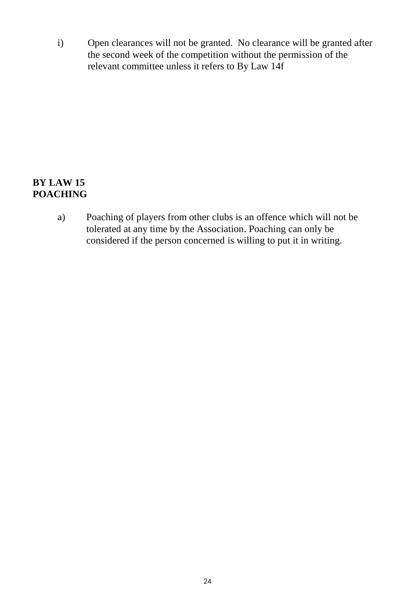i) Open clearances will not be granted. No clearance will be granted after the second week of the competition without the permission of the relevant committee unless it refers to By Law 14f

#### **BY LAW 15 POACHING**

a) Poaching of players from other clubs is an offence which will not be tolerated at any time by the Association. Poaching can only be considered if the person concerned is willing to put it in writing.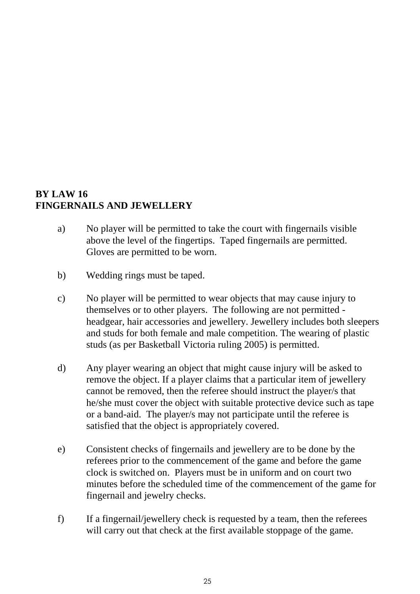#### **BY LAW 16 FINGERNAILS AND JEWELLERY**

- a) No player will be permitted to take the court with fingernails visible above the level of the fingertips. Taped fingernails are permitted. Gloves are permitted to be worn.
- b) Wedding rings must be taped.
- c) No player will be permitted to wear objects that may cause injury to themselves or to other players. The following are not permitted headgear, hair accessories and jewellery. Jewellery includes both sleepers and studs for both female and male competition. The wearing of plastic studs (as per Basketball Victoria ruling 2005) is permitted.
- d) Any player wearing an object that might cause injury will be asked to remove the object. If a player claims that a particular item of jewellery cannot be removed, then the referee should instruct the player/s that he/she must cover the object with suitable protective device such as tape or a band-aid. The player/s may not participate until the referee is satisfied that the object is appropriately covered.
- e) Consistent checks of fingernails and jewellery are to be done by the referees prior to the commencement of the game and before the game clock is switched on. Players must be in uniform and on court two minutes before the scheduled time of the commencement of the game for fingernail and jewelry checks.
- f) If a fingernail/jewellery check is requested by a team, then the referees will carry out that check at the first available stoppage of the game.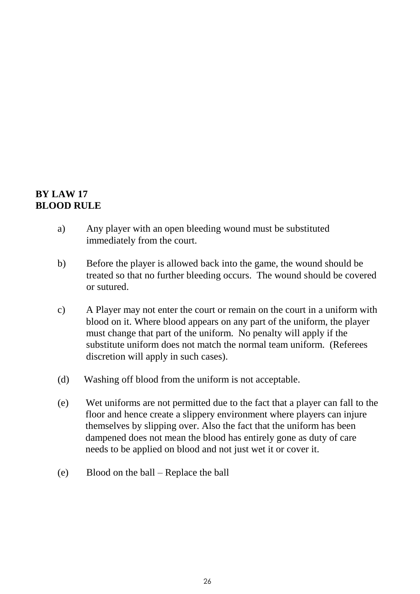# **BY LAW 17 BLOOD RULE**

- a) Any player with an open bleeding wound must be substituted immediately from the court.
- b) Before the player is allowed back into the game, the wound should be treated so that no further bleeding occurs. The wound should be covered or sutured.
- c) A Player may not enter the court or remain on the court in a uniform with blood on it. Where blood appears on any part of the uniform, the player must change that part of the uniform. No penalty will apply if the substitute uniform does not match the normal team uniform. (Referees discretion will apply in such cases).
- (d) Washing off blood from the uniform is not acceptable.
- (e) Wet uniforms are not permitted due to the fact that a player can fall to the floor and hence create a slippery environment where players can injure themselves by slipping over. Also the fact that the uniform has been dampened does not mean the blood has entirely gone as duty of care needs to be applied on blood and not just wet it or cover it.
- (e) Blood on the ball Replace the ball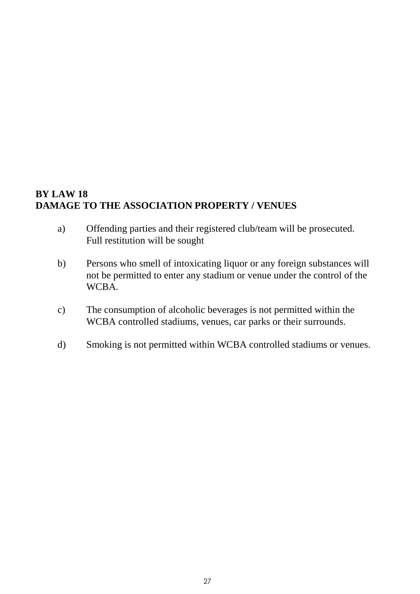# **BY LAW 18 DAMAGE TO THE ASSOCIATION PROPERTY / VENUES**

- a) Offending parties and their registered club/team will be prosecuted. Full restitution will be sought
- b) Persons who smell of intoxicating liquor or any foreign substances will not be permitted to enter any stadium or venue under the control of the WCBA.
- c) The consumption of alcoholic beverages is not permitted within the WCBA controlled stadiums, venues, car parks or their surrounds.
- d) Smoking is not permitted within WCBA controlled stadiums or venues.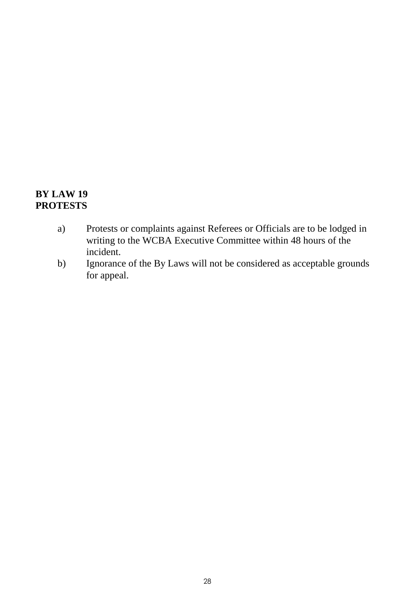# **BY LAW 19 PROTESTS**

- a) Protests or complaints against Referees or Officials are to be lodged in writing to the WCBA Executive Committee within 48 hours of the incident.
- b) Ignorance of the By Laws will not be considered as acceptable grounds for appeal.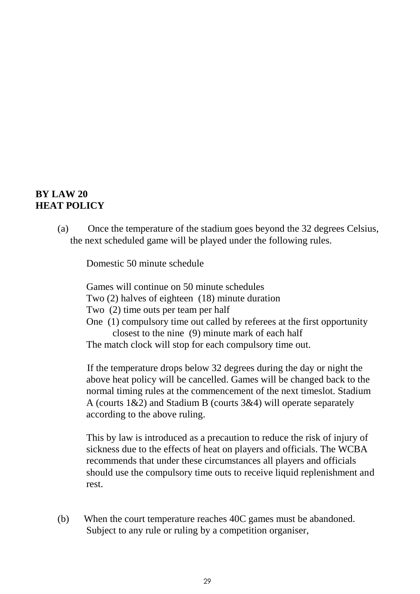#### **BY LAW 20 HEAT POLICY**

(a) Once the temperature of the stadium goes beyond the 32 degrees Celsius, the next scheduled game will be played under the following rules.

Domestic 50 minute schedule

Games will continue on 50 minute schedules

Two (2) halves of eighteen (18) minute duration

- Two (2) time outs per team per half
- One (1) compulsory time out called by referees at the first opportunity closest to the nine (9) minute mark of each half

The match clock will stop for each compulsory time out.

 If the temperature drops below 32 degrees during the day or night the above heat policy will be cancelled. Games will be changed back to the normal timing rules at the commencement of the next timeslot. Stadium A (courts 1&2) and Stadium B (courts 3&4) will operate separately according to the above ruling.

This by law is introduced as a precaution to reduce the risk of injury of sickness due to the effects of heat on players and officials. The WCBA recommends that under these circumstances all players and officials should use the compulsory time outs to receive liquid replenishment and rest.

(b) When the court temperature reaches 40C games must be abandoned. Subject to any rule or ruling by a competition organiser,